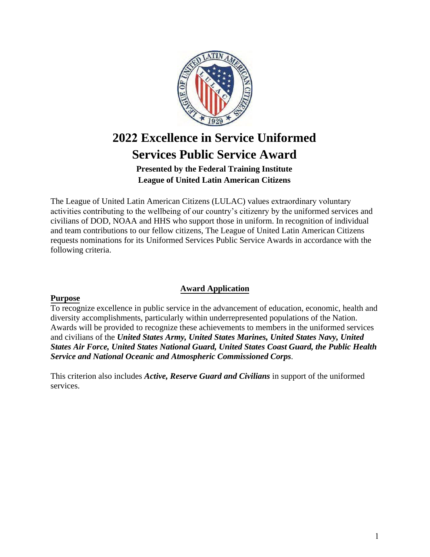

# **2022 Excellence in Service Uniformed Services Public Service Award**

## **Presented by the Federal Training Institute League of United Latin American Citizens**

The League of United Latin American Citizens (LULAC) values extraordinary voluntary activities contributing to the wellbeing of our country's citizenry by the uniformed services and civilians of DOD, NOAA and HHS who support those in uniform. In recognition of individual and team contributions to our fellow citizens, The League of United Latin American Citizens requests nominations for its Uniformed Services Public Service Awards in accordance with the following criteria.

## **Award Application**

### **Purpose**

To recognize excellence in public service in the advancement of education, economic, health and diversity accomplishments, particularly within underrepresented populations of the Nation. Awards will be provided to recognize these achievements to members in the uniformed services and civilians of the *United States Army, United States Marines, United States Navy, United States Air Force, United States National Guard, United States Coast Guard, the Public Health Service and National Oceanic and Atmospheric Commissioned Corps*.

This criterion also includes *Active, Reserve Guard and Civilians* in support of the uniformed services.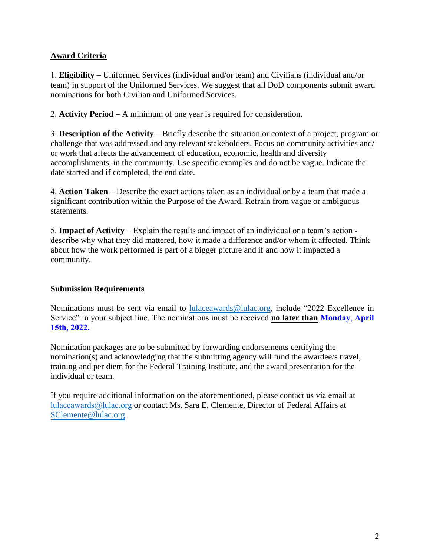## **Award Criteria**

1. **Eligibility** – Uniformed Services (individual and/or team) and Civilians (individual and/or team) in support of the Uniformed Services. We suggest that all DoD components submit award nominations for both Civilian and Uniformed Services.

2. **Activity Period** – A minimum of one year is required for consideration.

3. **Description of the Activity** – Briefly describe the situation or context of a project, program or challenge that was addressed and any relevant stakeholders. Focus on community activities and/ or work that affects the advancement of education, economic, health and diversity accomplishments, in the community. Use specific examples and do not be vague. Indicate the date started and if completed, the end date.

4. **Action Taken** – Describe the exact actions taken as an individual or by a team that made a significant contribution within the Purpose of the Award. Refrain from vague or ambiguous statements.

5. **Impact of Activity** – Explain the results and impact of an individual or a team's action describe why what they did mattered, how it made a difference and/or whom it affected. Think about how the work performed is part of a bigger picture and if and how it impacted a community.

## **Submission Requirements**

Nominations must be sent via email to l[ulaceawards@lulac.org, i](mailto:lulaceawards@lulac.org)nclude "2022 Excellence in Service" in your subject line. The nominations must be received **no later than Monday**, **April 15th, 2022.**

Nomination packages are to be submitted by forwarding endorsements certifying the nomination(s) and acknowledging that the submitting agency will fund the awardee/s travel, training and per diem for the Federal Training Institute, and the award presentation for the individual or team.

If you require additional information on the aforementioned, please contact us via email at lulaceawards@lulac.org [or contact Ms. Sara E. Clemente, Director of Federal Affairs at](mailto:YPonce@lulac.org) [SClemente@lulac.org.](mailto:SClemente@lulac.org)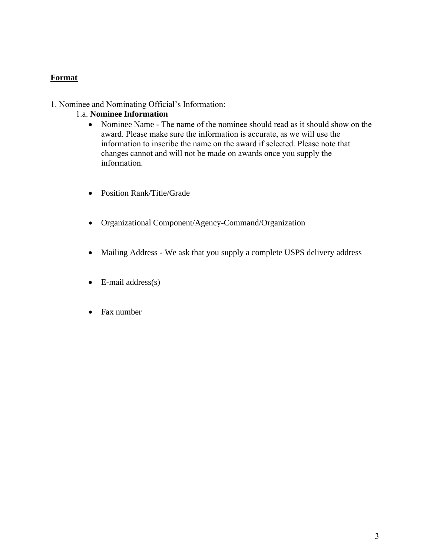### **Format**

#### 1. Nominee and Nominating Official's Information:

#### 1.a. **Nominee Information**

- Nominee Name The name of the nominee should read as it should show on the award. Please make sure the information is accurate, as we will use the information to inscribe the name on the award if selected. Please note that changes cannot and will not be made on awards once you supply the information.
- Position Rank/Title/Grade
- Organizational Component/Agency-Command/Organization
- Mailing Address We ask that you supply a complete USPS delivery address
- $\bullet$  E-mail address(s)
- Fax number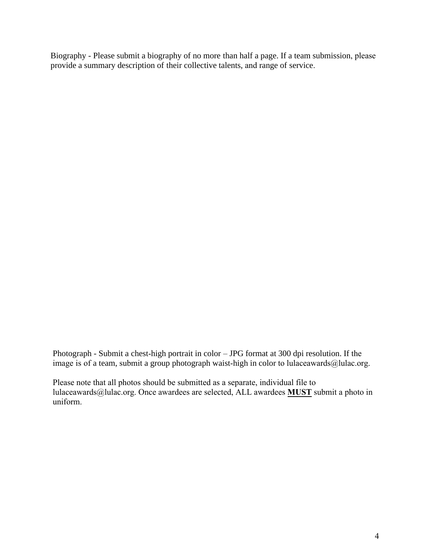Biography - Please submit a biography of no more than half a page. If a team submission, please provide a summary description of their collective talents, and range of service.

Photograph - Submit a chest-high portrait in color – JPG format at 300 dpi resolution. If the image is of a team, submit a group photograph waist-high in color to lulaceawards@lulac.org.

Please note that all photos should be submitted as a separate, individual file to lulaceawards@lulac.org. Once awardees are selected, ALL awardees **MUST** submit a photo in uniform.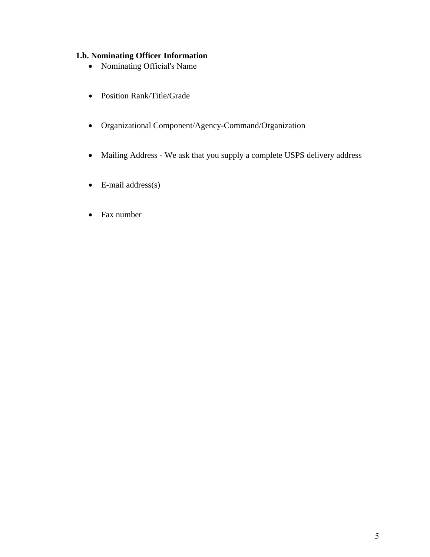## **1.b. Nominating Officer Information**

- Nominating Official's Name
- Position Rank/Title/Grade
- Organizational Component/Agency-Command/Organization
- Mailing Address We ask that you supply a complete USPS delivery address
- $\bullet$  E-mail address(s)
- Fax number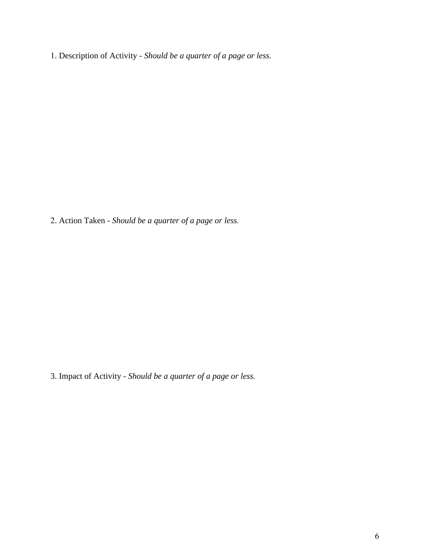. Description of Activity - *Should be a quarter of a page or less*.

. Action Taken - *Should be a quarter of a page or less.*

3. Impact of Activity - *Should be a quarter of a page or less.*